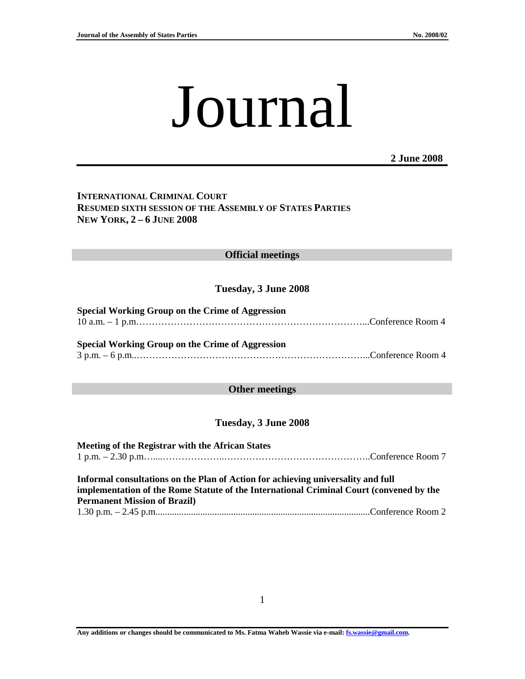# Journal

**2 June 2008**

## **INTERNATIONAL CRIMINAL COURT RESUMED SIXTH SESSION OF THE ASSEMBLY OF STATES PARTIES NEW YORK, 2 – 6 JUNE 2008**

#### **Official meetings**

#### **Tuesday, 3 June 2008**

# **Special Working Group on the Crime of Aggression**  10 a.m. – 1 p.m………………………………………………………………...Conference Room 4

**Special Working Group on the Crime of Aggression**  3 p.m. – 6 p.m..………………………………………………………………...Conference Room 4

#### **Other meetings**

#### **Tuesday, 3 June 2008**

**Meeting of the Registrar with the African States**  1 p.m. – 2.30 p.m…....………………..………………………………………..Conference Room 7 **Informal consultations on the Plan of Action for achieving universality and full** 

**implementation of the Rome Statute of the International Criminal Court (convened by the Permanent Mission of Brazil)**  1.30 p.m. – 2.45 p.m...........................................................................................Conference Room 2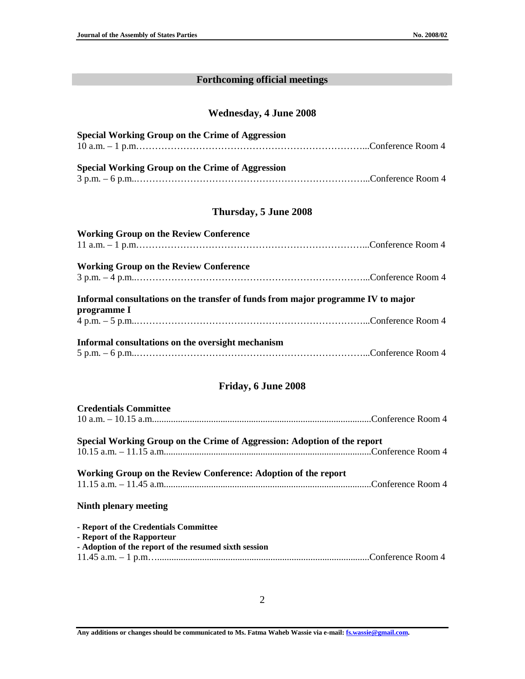# **Forthcoming official meetings**

## **Wednesday, 4 June 2008**

| <b>Special Working Group on the Crime of Aggression</b> |  |
|---------------------------------------------------------|--|
|                                                         |  |
|                                                         |  |
| Special Working Group on the Crime of Aggression        |  |
|                                                         |  |

## **Thursday, 5 June 2008**

| <b>Working Group on the Review Conference</b>                                                   |  |
|-------------------------------------------------------------------------------------------------|--|
|                                                                                                 |  |
| <b>Working Group on the Review Conference</b>                                                   |  |
|                                                                                                 |  |
| Informal consultations on the transfer of funds from major programme IV to major<br>programme I |  |
|                                                                                                 |  |
| Informal consultations on the oversight mechanism                                               |  |
|                                                                                                 |  |

## **Friday, 6 June 2008**

| <b>Credentials Committee</b>                                                                                                 |  |
|------------------------------------------------------------------------------------------------------------------------------|--|
| Special Working Group on the Crime of Aggression: Adoption of the report                                                     |  |
|                                                                                                                              |  |
| Working Group on the Review Conference: Adoption of the report                                                               |  |
| Ninth plenary meeting                                                                                                        |  |
| - Report of the Credentials Committee<br>- Report of the Rapporteur<br>- Adoption of the report of the resumed sixth session |  |